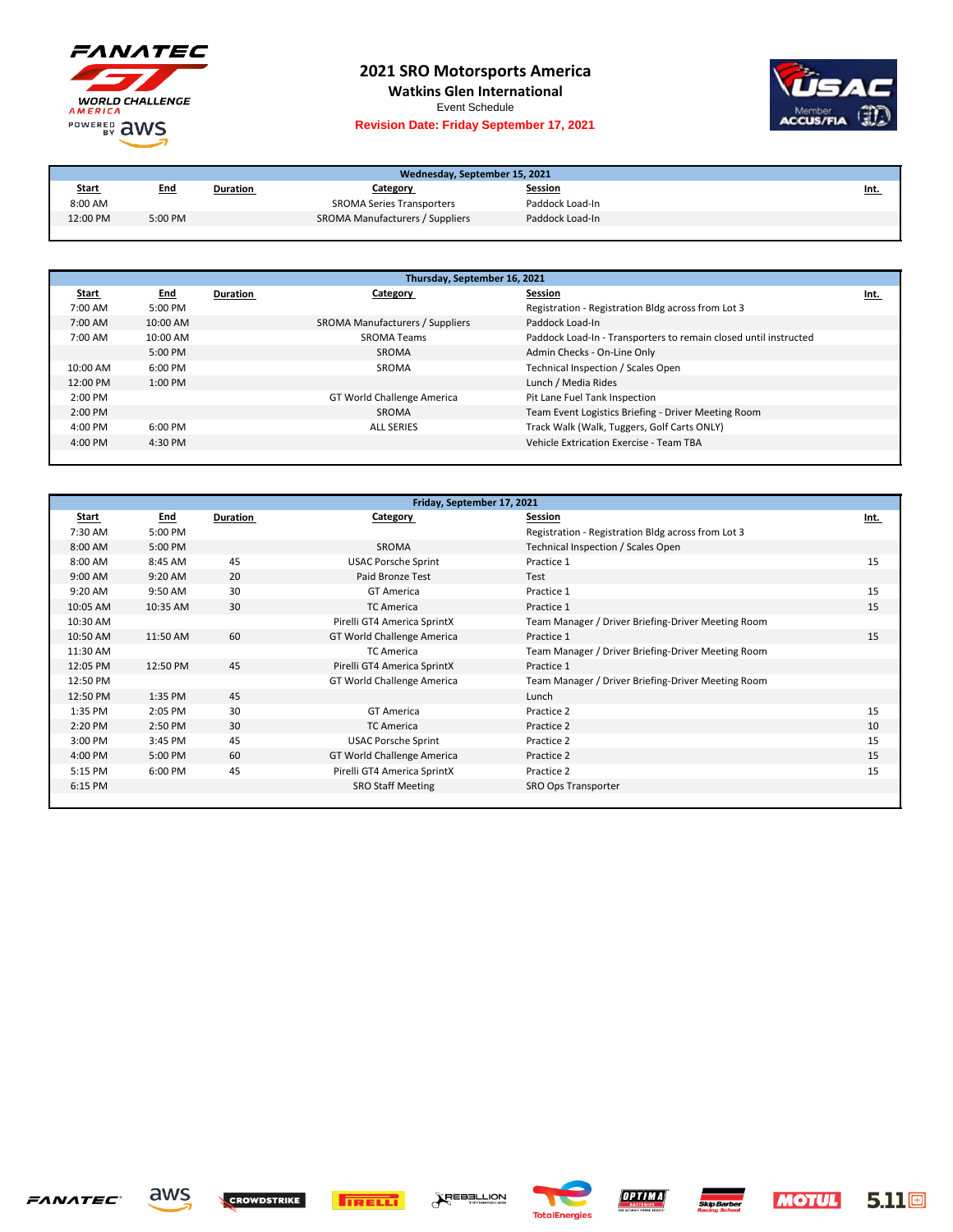

## **2021 SRO Motorsports America**

**Watkins Glen International**

Event Schedule

## **Revision Date: Friday September 17, 2021**



| Wednesday, September 15, 2021 |            |          |                                  |                 |             |
|-------------------------------|------------|----------|----------------------------------|-----------------|-------------|
| <b>Start</b>                  | <u>End</u> | Duration | Category                         | <b>Session</b>  | <u>Int.</u> |
| 8:00 AM                       |            |          | <b>SROMA Series Transporters</b> | Paddock Load-In |             |
| 12:00 PM                      | 5:00 PM    |          | SROMA Manufacturers / Suppliers  | Paddock Load-In |             |

| Thursday, September 16, 2021 |            |          |                                 |                                                                  |      |
|------------------------------|------------|----------|---------------------------------|------------------------------------------------------------------|------|
| <b>Start</b>                 | <u>End</u> | Duration | Category                        | Session                                                          | Int. |
| 7:00 AM                      | 5:00 PM    |          |                                 | Registration - Registration Bldg across from Lot 3               |      |
| 7:00 AM                      | 10:00 AM   |          | SROMA Manufacturers / Suppliers | Paddock Load-In                                                  |      |
| 7:00 AM                      | 10:00 AM   |          | <b>SROMA Teams</b>              | Paddock Load-In - Transporters to remain closed until instructed |      |
|                              | $5:00$ PM  |          | SROMA                           | Admin Checks - On-Line Only                                      |      |
| 10:00 AM                     | $6:00$ PM  |          | SROMA                           | Technical Inspection / Scales Open                               |      |
| 12:00 PM                     | $1:00$ PM  |          |                                 | Lunch / Media Rides                                              |      |
| $2:00$ PM                    |            |          | GT World Challenge America      | Pit Lane Fuel Tank Inspection                                    |      |
| 2:00 PM                      |            |          | SROMA                           | Team Event Logistics Briefing - Driver Meeting Room              |      |
| $4:00 \text{ PM}$            | $6:00$ PM  |          | <b>ALL SERIES</b>               | Track Walk (Walk, Tuggers, Golf Carts ONLY)                      |      |
| $4:00 \text{ PM}$            | 4:30 PM    |          |                                 | Vehicle Extrication Exercise - Team TBA                          |      |
|                              |            |          |                                 |                                                                  |      |

| Friday, September 17, 2021 |            |          |                             |                                                    |      |
|----------------------------|------------|----------|-----------------------------|----------------------------------------------------|------|
| <b>Start</b>               | <b>End</b> | Duration | Category                    | Session                                            | Int. |
| 7:30 AM                    | 5:00 PM    |          |                             | Registration - Registration Bldg across from Lot 3 |      |
| 8:00 AM                    | 5:00 PM    |          | SROMA                       | Technical Inspection / Scales Open                 |      |
| 8:00 AM                    | 8:45 AM    | 45       | <b>USAC Porsche Sprint</b>  | Practice 1                                         | 15   |
| 9:00 AM                    | 9:20 AM    | 20       | Paid Bronze Test            | Test                                               |      |
| 9:20 AM                    | 9:50 AM    | 30       | <b>GT America</b>           | Practice 1                                         | 15   |
| 10:05 AM                   | 10:35 AM   | 30       | <b>TC America</b>           | Practice 1                                         | 15   |
| 10:30 AM                   |            |          | Pirelli GT4 America SprintX | Team Manager / Driver Briefing-Driver Meeting Room |      |
| 10:50 AM                   | 11:50 AM   | 60       | GT World Challenge America  | Practice 1                                         | 15   |
| 11:30 AM                   |            |          | <b>TC America</b>           | Team Manager / Driver Briefing-Driver Meeting Room |      |
| 12:05 PM                   | 12:50 PM   | 45       | Pirelli GT4 America SprintX | Practice 1                                         |      |
| 12:50 PM                   |            |          | GT World Challenge America  | Team Manager / Driver Briefing-Driver Meeting Room |      |
| 12:50 PM                   | 1:35 PM    | 45       |                             | Lunch                                              |      |
| 1:35 PM                    | 2:05 PM    | 30       | <b>GT</b> America           | Practice 2                                         | 15   |
| 2:20 PM                    | 2:50 PM    | 30       | <b>TC America</b>           | Practice 2                                         | 10   |
| 3:00 PM                    | 3:45 PM    | 45       | <b>USAC Porsche Sprint</b>  | Practice 2                                         | 15   |
| 4:00 PM                    | 5:00 PM    | 60       | GT World Challenge America  | Practice 2                                         | 15   |
| 5:15 PM                    | 6:00 PM    | 45       | Pirelli GT4 America SprintX | Practice 2                                         | 15   |
| 6:15 PM                    |            |          | <b>SRO Staff Meeting</b>    | SRO Ops Transporter                                |      |
|                            |            |          |                             |                                                    |      |









**AREBELLION**